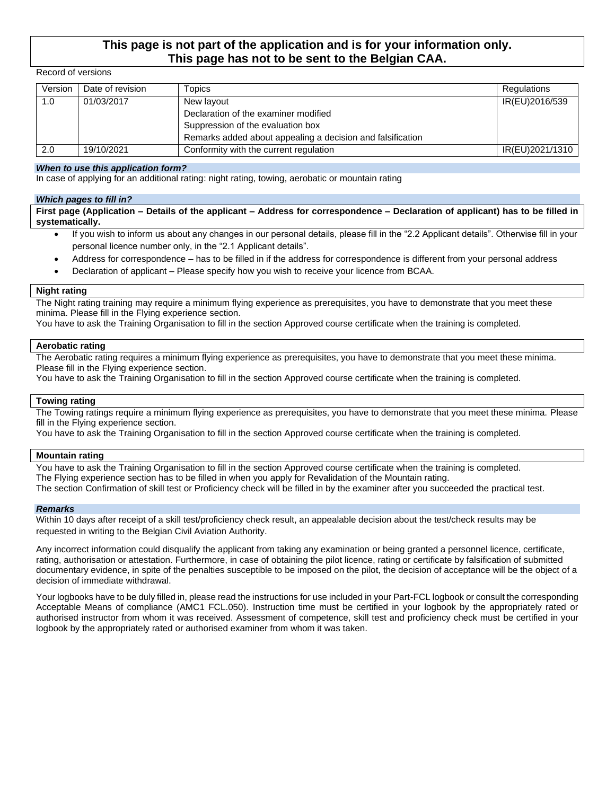### **This page is not part of the application and is for your information only. This page has not to be sent to the Belgian CAA.**

#### Record of versions

| Version | Date of revision | Topics                                                     | Regulations     |
|---------|------------------|------------------------------------------------------------|-----------------|
| 1.0     | 01/03/2017       | New layout                                                 | IR(EU)2016/539  |
|         |                  | Declaration of the examiner modified                       |                 |
|         |                  | Suppression of the evaluation box                          |                 |
|         |                  | Remarks added about appealing a decision and falsification |                 |
| 2.0     | 19/10/2021       | Conformity with the current regulation                     | IR(EU)2021/1310 |

#### *When to use this application form?*

In case of applying for an additional rating: night rating, towing, aerobatic or mountain rating

#### *Which pages to fill in?*

**First page (Application – Details of the applicant – Address for correspondence – Declaration of applicant) has to be filled in systematically.**

- If you wish to inform us about any changes in our personal details, please fill in the "2.2 Applicant details". Otherwise fill in your personal licence number only, in the "2.1 Applicant details".
- Address for correspondence has to be filled in if the address for correspondence is different from your personal address
- Declaration of applicant Please specify how you wish to receive your licence from BCAA.

#### **Night rating**

The Night rating training may require a minimum flying experience as prerequisites, you have to demonstrate that you meet these minima. Please fill in the Flying experience section.

You have to ask the Training Organisation to fill in the section Approved course certificate when the training is completed.

#### **Aerobatic rating**

The Aerobatic rating requires a minimum flying experience as prerequisites, you have to demonstrate that you meet these minima. Please fill in the Flying experience section.

You have to ask the Training Organisation to fill in the section Approved course certificate when the training is completed.

#### **Towing rating**

The Towing ratings require a minimum flying experience as prerequisites, you have to demonstrate that you meet these minima. Please fill in the Flying experience section.

You have to ask the Training Organisation to fill in the section Approved course certificate when the training is completed.

#### **Mountain rating**

You have to ask the Training Organisation to fill in the section Approved course certificate when the training is completed. The Flying experience section has to be filled in when you apply for Revalidation of the Mountain rating. The section Confirmation of skill test or Proficiency check will be filled in by the examiner after you succeeded the practical test.

#### *Remarks*

Within 10 days after receipt of a skill test/proficiency check result, an appealable decision about the test/check results may be requested in writing to the Belgian Civil Aviation Authority.

Any incorrect information could disqualify the applicant from taking any examination or being granted a personnel licence, certificate, rating, authorisation or attestation. Furthermore, in case of obtaining the pilot licence, rating or certificate by falsification of submitted documentary evidence, in spite of the penalties susceptible to be imposed on the pilot, the decision of acceptance will be the object of a decision of immediate withdrawal.

Your logbooks have to be duly filled in, please read the instructions for use included in your Part-FCL logbook or consult the corresponding Acceptable Means of compliance (AMC1 FCL.050). Instruction time must be certified in your logbook by the appropriately rated or authorised instructor from whom it was received. Assessment of competence, skill test and proficiency check must be certified in your logbook by the appropriately rated or authorised examiner from whom it was taken.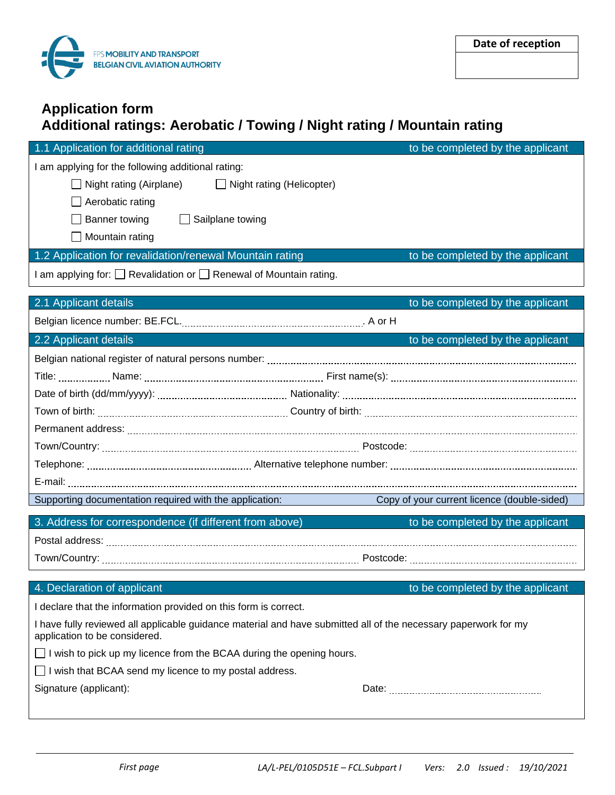

# **Application form Additional ratings: Aerobatic / Towing / Night rating / Mountain rating**

| 1.1 Application for additional rating                                                                                                            | to be completed by the applicant            |  |
|--------------------------------------------------------------------------------------------------------------------------------------------------|---------------------------------------------|--|
| I am applying for the following additional rating:                                                                                               |                                             |  |
| $\Box$ Night rating (Airplane)<br>$\Box$ Night rating (Helicopter)                                                                               |                                             |  |
| Aerobatic rating                                                                                                                                 |                                             |  |
| Banner towing<br>$\Box$ Sailplane towing                                                                                                         |                                             |  |
| Mountain rating                                                                                                                                  |                                             |  |
| 1.2 Application for revalidation/renewal Mountain rating                                                                                         | to be completed by the applicant            |  |
| I am applying for: □ Revalidation or □ Renewal of Mountain rating.                                                                               |                                             |  |
| 2.1 Applicant details                                                                                                                            | to be completed by the applicant            |  |
|                                                                                                                                                  |                                             |  |
| 2.2 Applicant details                                                                                                                            | to be completed by the applicant            |  |
|                                                                                                                                                  |                                             |  |
|                                                                                                                                                  |                                             |  |
|                                                                                                                                                  |                                             |  |
|                                                                                                                                                  |                                             |  |
|                                                                                                                                                  |                                             |  |
|                                                                                                                                                  |                                             |  |
|                                                                                                                                                  |                                             |  |
|                                                                                                                                                  |                                             |  |
| Supporting documentation required with the application:                                                                                          | Copy of your current licence (double-sided) |  |
| 3. Address for correspondence (if different from above)                                                                                          | to be completed by the applicant            |  |
|                                                                                                                                                  |                                             |  |
|                                                                                                                                                  |                                             |  |
|                                                                                                                                                  |                                             |  |
| 4. Declaration of applicant                                                                                                                      | to be completed by the applicant            |  |
| I declare that the information provided on this form is correct.                                                                                 |                                             |  |
| I have fully reviewed all applicable guidance material and have submitted all of the necessary paperwork for my<br>application to be considered. |                                             |  |
| I wish to pick up my licence from the BCAA during the opening hours.                                                                             |                                             |  |
| I wish that BCAA send my licence to my postal address.                                                                                           |                                             |  |
| Signature (applicant):                                                                                                                           |                                             |  |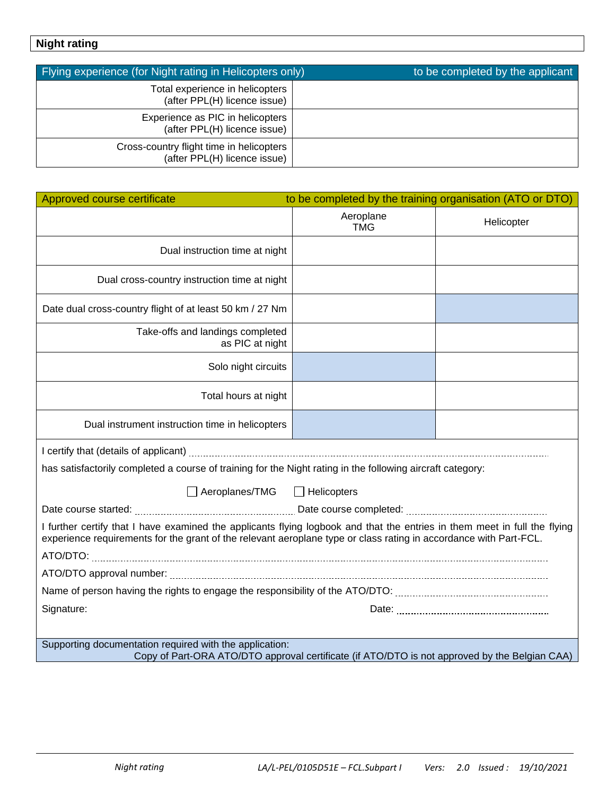# **Night rating**

| Flying experience (for Night rating in Helicopters only)                 | to be completed by the applicant |
|--------------------------------------------------------------------------|----------------------------------|
| Total experience in helicopters<br>(after PPL(H) licence issue)          |                                  |
| Experience as PIC in helicopters<br>(after PPL(H) licence issue)         |                                  |
| Cross-country flight time in helicopters<br>(after PPL(H) licence issue) |                                  |

| Approved course certificate<br>to be completed by the training organisation (ATO or DTO)                                                                                                                                                       |                         |            |  |  |
|------------------------------------------------------------------------------------------------------------------------------------------------------------------------------------------------------------------------------------------------|-------------------------|------------|--|--|
|                                                                                                                                                                                                                                                | Aeroplane<br><b>TMG</b> | Helicopter |  |  |
| Dual instruction time at night                                                                                                                                                                                                                 |                         |            |  |  |
| Dual cross-country instruction time at night                                                                                                                                                                                                   |                         |            |  |  |
| Date dual cross-country flight of at least 50 km / 27 Nm                                                                                                                                                                                       |                         |            |  |  |
| Take-offs and landings completed<br>as PIC at night                                                                                                                                                                                            |                         |            |  |  |
| Solo night circuits                                                                                                                                                                                                                            |                         |            |  |  |
| Total hours at night                                                                                                                                                                                                                           |                         |            |  |  |
| Dual instrument instruction time in helicopters                                                                                                                                                                                                |                         |            |  |  |
|                                                                                                                                                                                                                                                |                         |            |  |  |
| has satisfactorily completed a course of training for the Night rating in the following aircraft category:                                                                                                                                     |                         |            |  |  |
| □ Aeroplanes/TMG □ Helicopters                                                                                                                                                                                                                 |                         |            |  |  |
|                                                                                                                                                                                                                                                |                         |            |  |  |
| I further certify that I have examined the applicants flying logbook and that the entries in them meet in full the flying<br>experience requirements for the grant of the relevant aeroplane type or class rating in accordance with Part-FCL. |                         |            |  |  |
|                                                                                                                                                                                                                                                |                         |            |  |  |
|                                                                                                                                                                                                                                                |                         |            |  |  |
|                                                                                                                                                                                                                                                |                         |            |  |  |
| Signature:                                                                                                                                                                                                                                     |                         |            |  |  |
| Supporting documentation required with the application:<br>Copy of Part-ORA ATO/DTO approval certificate (if ATO/DTO is not approved by the Belgian CAA)                                                                                       |                         |            |  |  |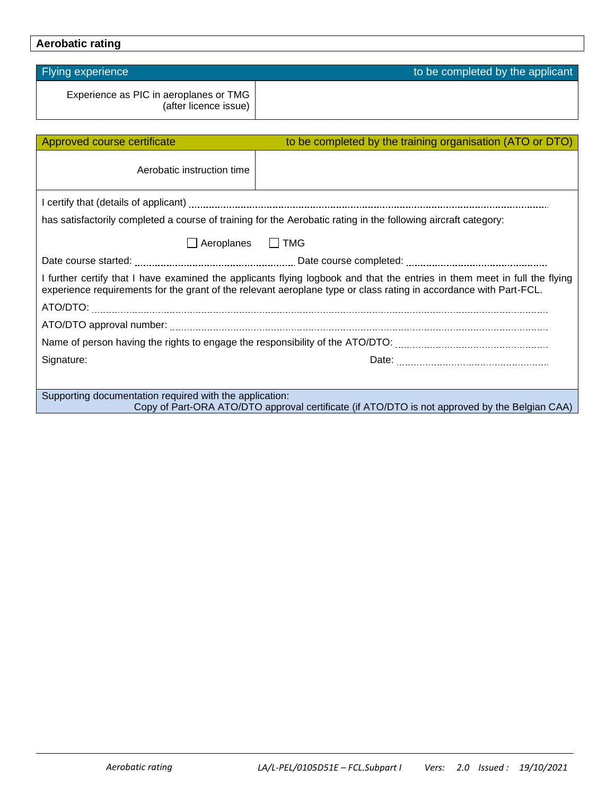## **Aerobatic rating**

| Experience as PIC in aeroplanes or TMG<br>(after licence issue)                                                                                                                                                                                |                                                                                                                |  |  |
|------------------------------------------------------------------------------------------------------------------------------------------------------------------------------------------------------------------------------------------------|----------------------------------------------------------------------------------------------------------------|--|--|
|                                                                                                                                                                                                                                                |                                                                                                                |  |  |
| Approved course certificate                                                                                                                                                                                                                    | to be completed by the training organisation (ATO or DTO)                                                      |  |  |
| Aerobatic instruction time                                                                                                                                                                                                                     |                                                                                                                |  |  |
|                                                                                                                                                                                                                                                |                                                                                                                |  |  |
|                                                                                                                                                                                                                                                | has satisfactorily completed a course of training for the Aerobatic rating in the following aircraft category: |  |  |
| Aeroplanes J TMG                                                                                                                                                                                                                               |                                                                                                                |  |  |
|                                                                                                                                                                                                                                                |                                                                                                                |  |  |
| I further certify that I have examined the applicants flying logbook and that the entries in them meet in full the flying<br>experience requirements for the grant of the relevant aeroplane type or class rating in accordance with Part-FCL. |                                                                                                                |  |  |
|                                                                                                                                                                                                                                                |                                                                                                                |  |  |
|                                                                                                                                                                                                                                                |                                                                                                                |  |  |
|                                                                                                                                                                                                                                                |                                                                                                                |  |  |
| Signature:                                                                                                                                                                                                                                     |                                                                                                                |  |  |
|                                                                                                                                                                                                                                                |                                                                                                                |  |  |
| Supporting documentation required with the application:<br>Copy of Part-ORA ATO/DTO approval certificate (if ATO/DTO is not approved by the Belgian CAA)                                                                                       |                                                                                                                |  |  |

Flying experience to be completed by the applicant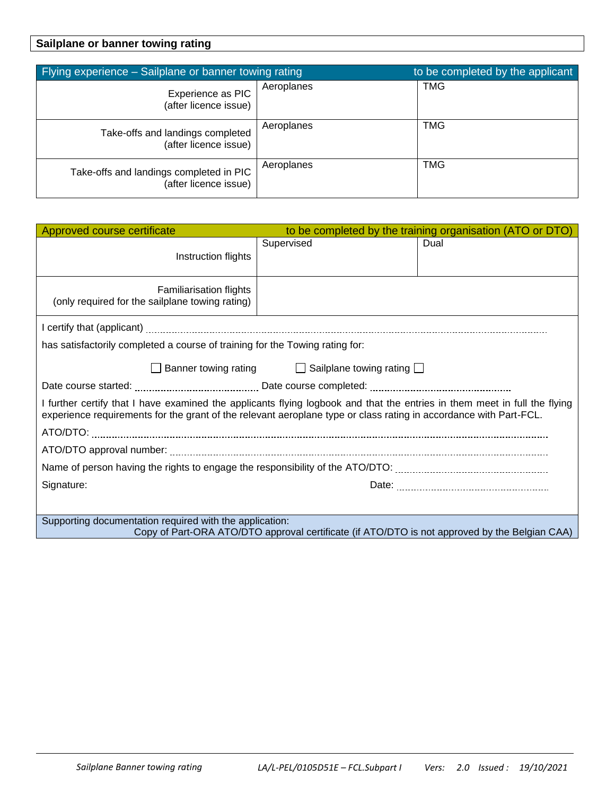### **Sailplane or banner towing rating**

| Flying experience - Sailplane or banner towing rating            |            | to be completed by the applicant |
|------------------------------------------------------------------|------------|----------------------------------|
| Experience as PIC<br>(after licence issue)                       | Aeroplanes | <b>TMG</b>                       |
| Take-offs and landings completed<br>(after licence issue)        | Aeroplanes | TMG                              |
| Take-offs and landings completed in PIC<br>(after licence issue) | Aeroplanes | TMG                              |

| Approved course certificate                                                                                                                                                                                                                    | to be completed by the training organisation (ATO or DTO) |      |  |
|------------------------------------------------------------------------------------------------------------------------------------------------------------------------------------------------------------------------------------------------|-----------------------------------------------------------|------|--|
| Instruction flights                                                                                                                                                                                                                            | Supervised                                                | Dual |  |
| <b>Familiarisation flights</b><br>(only required for the sailplane towing rating)                                                                                                                                                              |                                                           |      |  |
|                                                                                                                                                                                                                                                |                                                           |      |  |
| has satisfactorily completed a course of training for the Towing rating for:                                                                                                                                                                   |                                                           |      |  |
| Banner towing rating <b>Sailplane towing rating</b> ■                                                                                                                                                                                          |                                                           |      |  |
|                                                                                                                                                                                                                                                |                                                           |      |  |
| I further certify that I have examined the applicants flying logbook and that the entries in them meet in full the flying<br>experience requirements for the grant of the relevant aeroplane type or class rating in accordance with Part-FCL. |                                                           |      |  |
|                                                                                                                                                                                                                                                |                                                           |      |  |
|                                                                                                                                                                                                                                                |                                                           |      |  |
|                                                                                                                                                                                                                                                |                                                           |      |  |
| Signature:                                                                                                                                                                                                                                     |                                                           |      |  |
|                                                                                                                                                                                                                                                |                                                           |      |  |
| Supporting documentation required with the application:<br>Copy of Part-ORA ATO/DTO approval certificate (if ATO/DTO is not approved by the Belgian CAA)                                                                                       |                                                           |      |  |